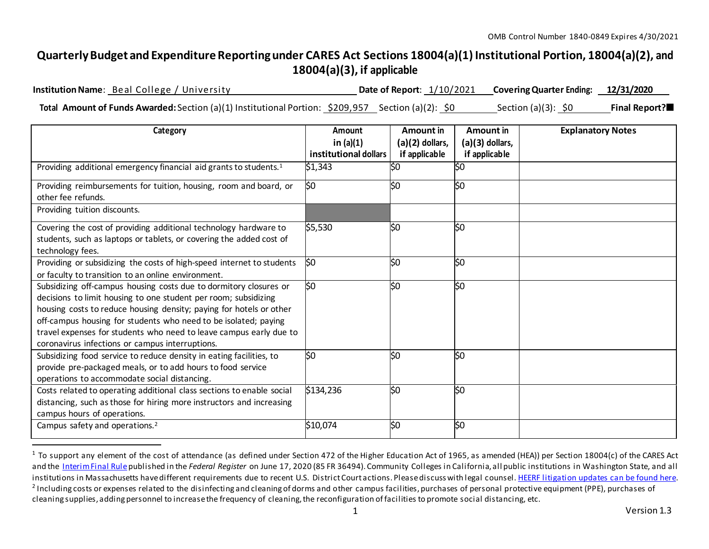## **QuarterlyBudget and ExpenditureReportingunder CARES Act Sections 18004(a)(1) Institutional Portion, 18004(a)(2), and 18004(a)(3), if applicable**

**InstitutionName**: Beal College / University **Date of Report**: 1/10/2021 **CoveringQuarter Ending: 12/31/2020 Total Amount of Funds Awarded:** Section (a)(1) Institutional Portion: \$209,957 Section (a)(2): \$0 Section (a)(3): \$0 **Final Report?**

| Category                                                                                                                                                                                                                                                                                                                                                                                                | Amount<br>in $(a)(1)$ | Amount in<br>$(a)(2)$ dollars, | Amount in<br>$(a)(3)$ dollars, | <b>Explanatory Notes</b> |
|---------------------------------------------------------------------------------------------------------------------------------------------------------------------------------------------------------------------------------------------------------------------------------------------------------------------------------------------------------------------------------------------------------|-----------------------|--------------------------------|--------------------------------|--------------------------|
|                                                                                                                                                                                                                                                                                                                                                                                                         | institutional dollars | if applicable                  | if applicable                  |                          |
| Providing additional emergency financial aid grants to students. <sup>1</sup>                                                                                                                                                                                                                                                                                                                           | \$1,343               | Ś0                             | 50                             |                          |
| Providing reimbursements for tuition, housing, room and board, or<br>other fee refunds.                                                                                                                                                                                                                                                                                                                 | l\$0                  | lso                            | $\overline{\text{SO}}$         |                          |
| Providing tuition discounts.                                                                                                                                                                                                                                                                                                                                                                            |                       |                                |                                |                          |
| Covering the cost of providing additional technology hardware to<br>students, such as laptops or tablets, or covering the added cost of<br>technology fees.                                                                                                                                                                                                                                             | \$5,530               | l\$0                           | $\overline{\$0}$               |                          |
| Providing or subsidizing the costs of high-speed internet to students<br>or faculty to transition to an online environment.                                                                                                                                                                                                                                                                             | 50                    | lso                            | $\overline{\text{SO}}$         |                          |
| Subsidizing off-campus housing costs due to dormitory closures or<br>decisions to limit housing to one student per room; subsidizing<br>housing costs to reduce housing density; paying for hotels or other<br>off-campus housing for students who need to be isolated; paying<br>travel expenses for students who need to leave campus early due to<br>coronavirus infections or campus interruptions. | SO                    | l\$0                           | l\$0                           |                          |
| Subsidizing food service to reduce density in eating facilities, to<br>provide pre-packaged meals, or to add hours to food service<br>operations to accommodate social distancing.                                                                                                                                                                                                                      | S <sub>0</sub>        | lso                            | \$0                            |                          |
| Costs related to operating additional class sections to enable social<br>distancing, such as those for hiring more instructors and increasing<br>campus hours of operations.                                                                                                                                                                                                                            | \$134,236             | l\$0                           | l\$0                           |                          |
| Campus safety and operations. <sup>2</sup>                                                                                                                                                                                                                                                                                                                                                              | \$10,074              | l\$0                           | l\$0                           |                          |

<sup>&</sup>lt;sup>1</sup> To support any element of the cost of attendance (as defined under Section 472 of the Higher Education Act of 1965, as amended (HEA)) per Section 18004(c) of the CARES Act and the InterimFinal Rulepublished in the *Federal Register* on June 17, 2020 (85 FR 36494). Community Colleges in California, all public institutions in Washington State, and all institutions in Massachusetts have different requirements due to recent U.S. District Court actions. Please discuss with legal counsel. HEERF litigation updates can be found here.  $^2$  Including costs or expenses related to the disinfecting and cleaning of dorms and other campus facilities, purchases of personal protective equipment (PPE), purchases of cleaning supplies, adding personnel to increase the frequency of cleaning, the reconfiguration of facilities to promote social distancing, etc.